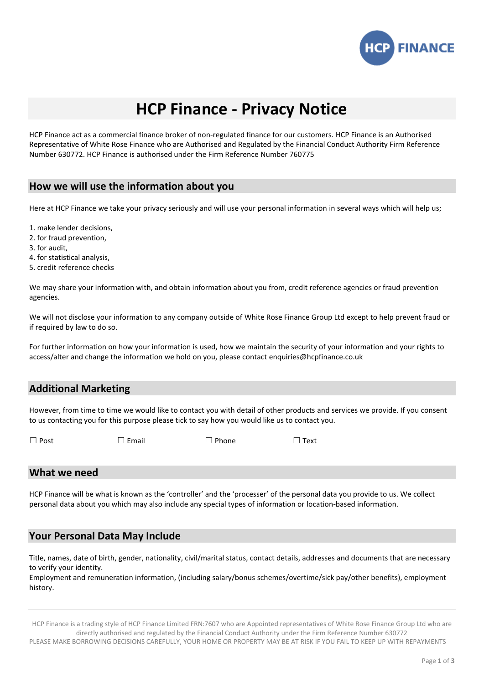

# **HCP Finance - Privacy Notice**

HCP Finance act as a commercial finance broker of non-regulated finance for our customers. HCP Finance is an Authorised Representative of White Rose Finance who are Authorised and Regulated by the Financial Conduct Authority Firm Reference Number 630772. HCP Finance is authorised under the Firm Reference Number 760775

#### **How we will use the information about you**

Here at HCP Finance we take your privacy seriously and will use your personal information in several ways which will help us;

- 1. make lender decisions,
- 2. for fraud prevention,
- 3. for audit,
- 4. for statistical analysis,
- 5. credit reference checks

We may share your information with, and obtain information about you from, credit reference agencies or fraud prevention agencies.

We will not disclose your information to any company outside of White Rose Finance Group Ltd except to help prevent fraud or if required by law to do so.

For further information on how your information is used, how we maintain the security of your information and your rights to access/alter and change the information we hold on you, please contact enquiries@hcpfinance.co.uk

## **Additional Marketing**

However, from time to time we would like to contact you with detail of other products and services we provide. If you consent to us contacting you for this purpose please tick to say how you would like us to contact you.

☐ Post ☐ Email ☐ Phone ☐ Text

#### **What we need**

HCP Finance will be what is known as the 'controller' and the 'processer' of the personal data you provide to us. We collect personal data about you which may also include any special types of information or location-based information.

## **Your Personal Data May Include**

Title, names, date of birth, gender, nationality, civil/marital status, contact details, addresses and documents that are necessary to verify your identity.

Employment and remuneration information, (including salary/bonus schemes/overtime/sick pay/other benefits), employment history.

HCP Finance is a trading style of HCP Finance Limited FRN:7607 who are Appointed representatives of White Rose Finance Group Ltd who are directly authorised and regulated by the Financial Conduct Authority under the Firm Reference Number 630772

PLEASE MAKE BORROWING DECISIONS CAREFULLY, YOUR HOME OR PROPERTY MAY BE AT RISK IF YOU FAIL TO KEEP UP WITH REPAYMENTS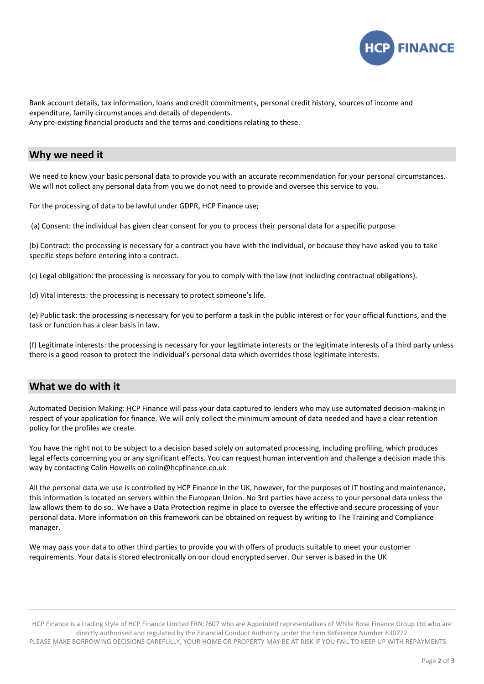

Bank account details, tax information, loans and credit commitments, personal credit history, sources of income and expenditure, family circumstances and details of dependents. Any pre-existing financial products and the terms and conditions relating to these.

#### **Why we need it**

We need to know your basic personal data to provide you with an accurate recommendation for your personal circumstances. We will not collect any personal data from you we do not need to provide and oversee this service to you.

For the processing of data to be lawful under GDPR, HCP Finance use;

(a) Consent: the individual has given clear consent for you to process their personal data for a specific purpose.

(b) Contract: the processing is necessary for a contract you have with the individual, or because they have asked you to take specific steps before entering into a contract.

(c) Legal obligation: the processing is necessary for you to comply with the law (not including contractual obligations).

(d) Vital interests: the processing is necessary to protect someone's life.

(e) Public task: the processing is necessary for you to perform a task in the public interest or for your official functions, and the task or function has a clear basis in law.

(f) Legitimate interests: the processing is necessary for your legitimate interests or the legitimate interests of a third party unless there is a good reason to protect the individual's personal data which overrides those legitimate interests.

#### **What we do with it**

Automated Decision Making: HCP Finance will pass your data captured to lenders who may use automated decision-making in respect of your application for finance. We will only collect the minimum amount of data needed and have a clear retention policy for the profiles we create.

You have the right not to be subject to a decision based solely on automated processing, including profiling, which produces legal effects concerning you or any significant effects. You can request human intervention and challenge a decision made this way by contacting Colin Howells on colin@hcpfinance.co.uk

All the personal data we use is controlled by HCP Finance in the UK, however, for the purposes of IT hosting and maintenance, this information is located on servers within the European Union. No 3rd parties have access to your personal data unless the law allows them to do so. We have a Data Protection regime in place to oversee the effective and secure processing of your personal data. More information on this framework can be obtained on request by writing to The Training and Compliance manager.

We may pass your data to other third parties to provide you with offers of products suitable to meet your customer requirements. Your data is stored electronically on our cloud encrypted server. Our server is based in the UK

HCP Finance is a trading style of HCP Finance Limited FRN:7607 who are Appointed representatives of White Rose Finance Group Ltd who are directly authorised and regulated by the Financial Conduct Authority under the Firm Reference Number 630772 PLEASE MAKE BORROWING DECISIONS CAREFULLY, YOUR HOME OR PROPERTY MAY BE AT RISK IF YOU FAIL TO KEEP UP WITH REPAYMENTS